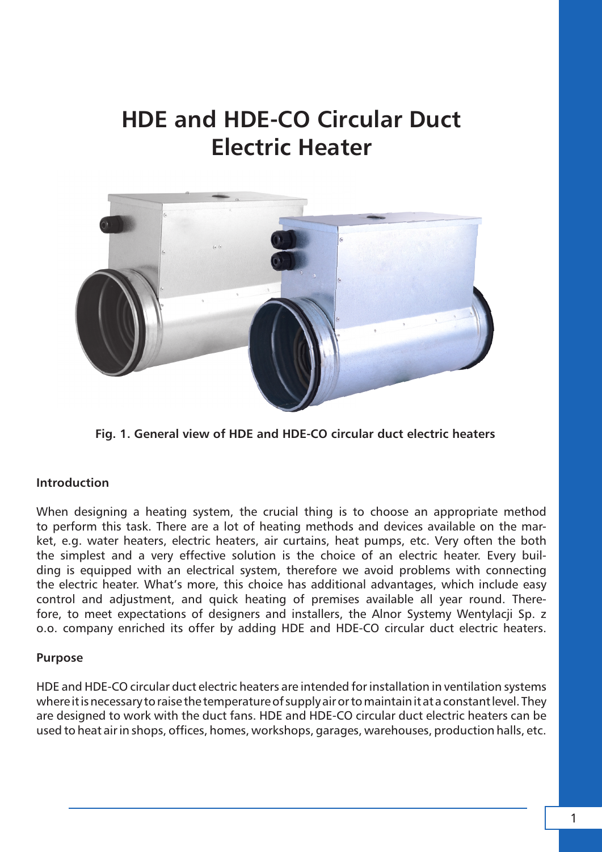# **HDE and HDE-CO Circular Duct Electric Heater**



**Fig. 1. General view of HDE and HDE-CO circular duct electric heaters**

# **Introduction**

When designing a heating system, the crucial thing is to choose an appropriate method to perform this task. There are a lot of heating methods and devices available on the market, e.g. water heaters, electric heaters, air curtains, heat pumps, etc. Very often the both the simplest and a very effective solution is the choice of an electric heater. Every building is equipped with an electrical system, therefore we avoid problems with connecting the electric heater. What's more, this choice has additional advantages, which include easy control and adjustment, and quick heating of premises available all year round. Therefore, to meet expectations of designers and installers, the Alnor Systemy Wentylacji Sp. z o.o. company enriched its offer by adding HDE and HDE-CO circular duct electric heaters.

# **Purpose**

HDE and HDE-CO circular duct electric heaters are intended for installation in ventilation systems where it is necessary to raise the temperature of supply air or to maintain it at a constant level. They are designed to work with the duct fans. HDE and HDE-CO circular duct electric heaters can be used to heat air in shops, offices, homes, workshops, garages, warehouses, production halls, etc.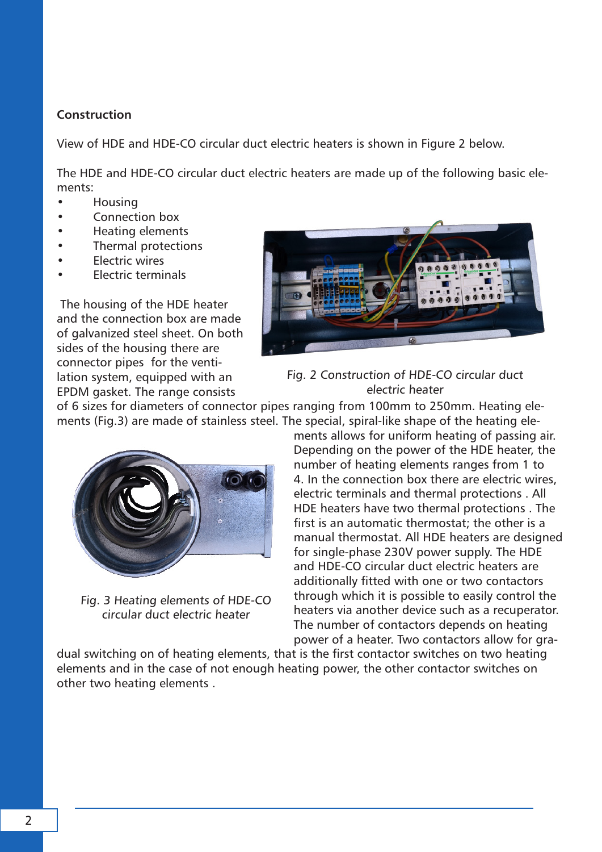# **Construction**

View of HDE and HDE-CO circular duct electric heaters is shown in Figure 2 below.

The HDE and HDE-CO circular duct electric heaters are made up of the following basic elements:

- Housing
- Connection box
- Heating elements
- Thermal protections
- **Electric wires**
- Electric terminals

 The housing of the HDE heater and the connection box are made of galvanized steel sheet. On both sides of the housing there are connector pipes for the ventilation system, equipped with an EPDM gasket. The range consists





of 6 sizes for diameters of connector pipes ranging from 100mm to 250mm. Heating elements (Fig.3) are made of stainless steel. The special, spiral-like shape of the heating ele-



Fig. 3 Heating elements of HDE-CO circular duct electric heater

ments allows for uniform heating of passing air. Depending on the power of the HDE heater, the number of heating elements ranges from 1 to 4. In the connection box there are electric wires, electric terminals and thermal protections . All HDE heaters have two thermal protections . The first is an automatic thermostat; the other is a manual thermostat. All HDE heaters are designed for single-phase 230V power supply. The HDE and HDE-CO circular duct electric heaters are additionally fitted with one or two contactors through which it is possible to easily control the heaters via another device such as a recuperator. The number of contactors depends on heating power of a heater. Two contactors allow for gra-

dual switching on of heating elements, that is the first contactor switches on two heating elements and in the case of not enough heating power, the other contactor switches on other two heating elements .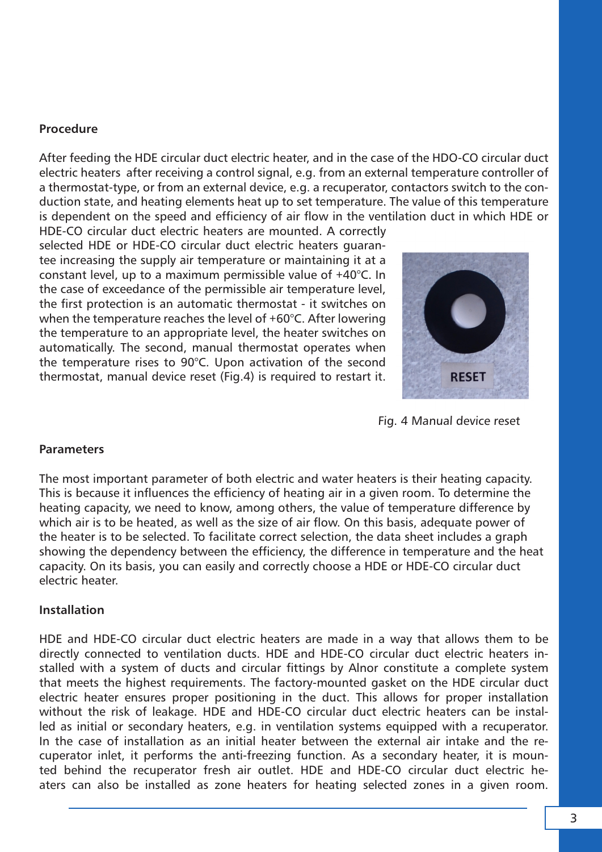#### **Procedure**

After feeding the HDE circular duct electric heater, and in the case of the HDO-CO circular duct electric heaters after receiving a control signal, e.g. from an external temperature controller of a thermostat-type, or from an external device, e.g. a recuperator, contactors switch to the conduction state, and heating elements heat up to set temperature. The value of this temperature is dependent on the speed and efficiency of air flow in the ventilation duct in which HDE or

HDE-CO circular duct electric heaters are mounted. A correctly selected HDE or HDE-CO circular duct electric heaters guarantee increasing the supply air temperature or maintaining it at a constant level, up to a maximum permissible value of +40°C. In the case of exceedance of the permissible air temperature level, the first protection is an automatic thermostat - it switches on when the temperature reaches the level of +60°C. After lowering the temperature to an appropriate level, the heater switches on automatically. The second, manual thermostat operates when the temperature rises to 90°C. Upon activation of the second thermostat, manual device reset (Fig.4) is required to restart it.



Fig. 4 Manual device reset

# **Parameters**

The most important parameter of both electric and water heaters is their heating capacity. This is because it influences the efficiency of heating air in a given room. To determine the heating capacity, we need to know, among others, the value of temperature difference by which air is to be heated, as well as the size of air flow. On this basis, adequate power of the heater is to be selected. To facilitate correct selection, the data sheet includes a graph showing the dependency between the efficiency, the difference in temperature and the heat capacity. On its basis, you can easily and correctly choose a HDE or HDE-CO circular duct electric heater.

# **Installation**

HDE and HDE-CO circular duct electric heaters are made in a way that allows them to be directly connected to ventilation ducts. HDE and HDE-CO circular duct electric heaters installed with a system of ducts and circular fittings by Alnor constitute a complete system that meets the highest requirements. The factory-mounted gasket on the HDE circular duct electric heater ensures proper positioning in the duct. This allows for proper installation without the risk of leakage. HDE and HDE-CO circular duct electric heaters can be installed as initial or secondary heaters, e.g. in ventilation systems equipped with a recuperator. In the case of installation as an initial heater between the external air intake and the recuperator inlet, it performs the anti-freezing function. As a secondary heater, it is mounted behind the recuperator fresh air outlet. HDE and HDE-CO circular duct electric heaters can also be installed as zone heaters for heating selected zones in a given room.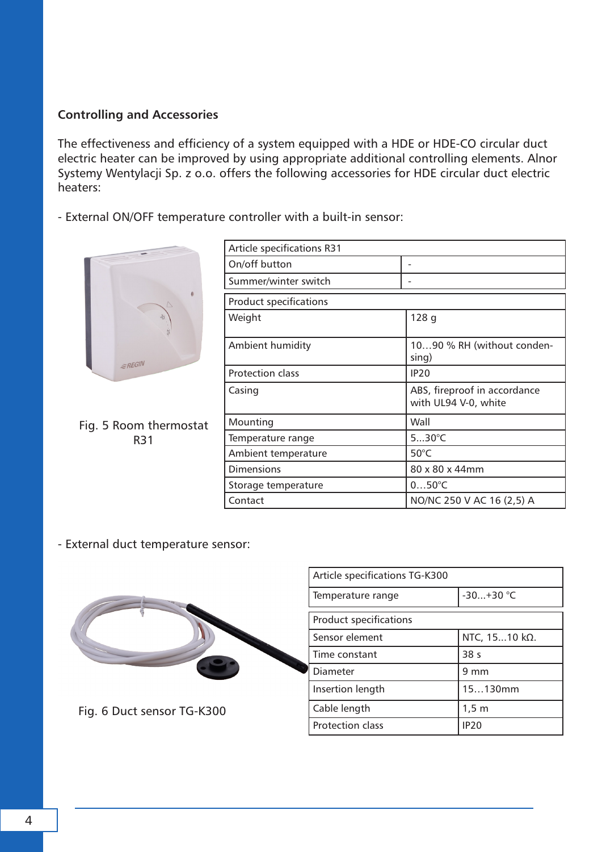# **Controlling and Accessories**

The effectiveness and efficiency of a system equipped with a HDE or HDE-CO circular duct electric heater can be improved by using appropriate additional controlling elements. Alnor Systemy Wentylacji Sp. z o.o. offers the following accessories for HDE circular duct electric heaters:

- External ON/OFF temperature controller with a built-in sensor:



Fig. 5 Room thermostat R31

| <b>Article specifications R31</b> |                                                      |
|-----------------------------------|------------------------------------------------------|
| On/off button                     |                                                      |
| Summer/winter switch              |                                                      |
| <b>Product specifications</b>     |                                                      |
| Weight                            | 128q                                                 |
| Ambient humidity                  | 1090 % RH (without conden-<br>sing)                  |
| <b>Protection class</b>           | <b>IP20</b>                                          |
| Casing                            | ABS, fireproof in accordance<br>with UL94 V-0, white |
| Mounting                          | Wall                                                 |
| Temperature range                 | $530^{\circ}$ C                                      |
| Ambient temperature               | $50^{\circ}$ C                                       |
| Dimensions                        | 80 x 80 x 44mm                                       |
| Storage temperature               | $050^{\circ}C$                                       |
| Contact                           | NO/NC 250 V AC 16 (2,5) A                            |

- External duct temperature sensor:



Fig. 6 Duct sensor TG-K300

| Article specifications TG-K300 |                     |  |
|--------------------------------|---------------------|--|
| Temperature range              | $-30+30$ °C         |  |
| <b>Product specifications</b>  |                     |  |
| Sensor element                 | NTC, 1510 kΩ.       |  |
| Time constant                  | 38 <sub>s</sub>     |  |
| Diameter                       | $9 \text{ mm}$      |  |
| Insertion length               | 15130mm             |  |
| Cable length                   | $1,5 \; \mathrm{m}$ |  |
| Protection class               | <b>IP20</b>         |  |